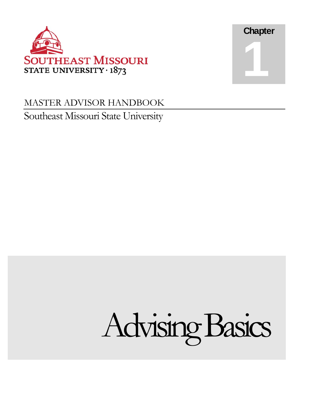

## MASTER ADVISOR HANDBOOK Southeast Missouri State University



**Chapter** 

1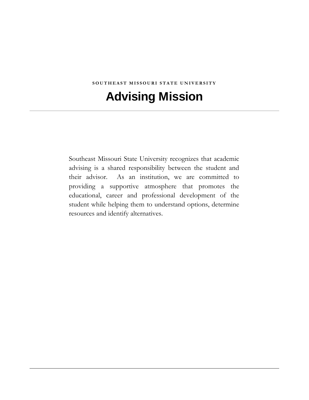#### **SOUTHEAST MISSOURI STATE UNIVERSITY**

# Advising Mission

Southeast Missouri State University recognizes that academic advising is a shared responsibility between the student and their advisor. As an institution, we are committed to providing a supportive atmosphere that promotes the educational, career and professional development of the student while helping them to understand options, determine resources and identify alternatives.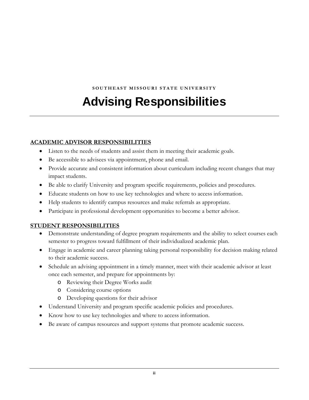**SOUTHEAST MISSOURI STATE UNIVERSITY** 

# Advising Responsibilities

#### **ACADEMIC ADVISOR RESPONSIBILITIES**

- Listen to the needs of students and assist them in meeting their academic goals.
- Be accessible to advisees via appointment, phone and email.
- Provide accurate and consistent information about curriculum including recent changes that may impact students.
- Be able to clarify University and program specific requirements, policies and procedures.
- Educate students on how to use key technologies and where to access information.
- Help students to identify campus resources and make referrals as appropriate.
- Participate in professional development opportunities to become a better advisor.

#### **STUDENT RESPONSIBILITIES**

- Demonstrate understanding of degree program requirements and the ability to select courses each semester to progress toward fulfillment of their individualized academic plan.
- Engage in academic and career planning taking personal responsibility for decision making related to their academic success.
- Schedule an advising appointment in a timely manner, meet with their academic advisor at least once each semester, and prepare for appointments by:
	- o Reviewing their Degree Works audit
	- o Considering course options
	- o Developing questions for their advisor
- Understand University and program specific academic policies and procedures.
- Know how to use key technologies and where to access information.
- Be aware of campus resources and support systems that promote academic success.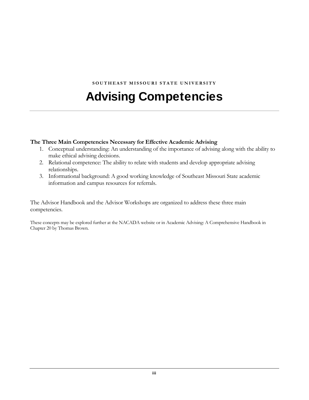#### **SOUTHEAST MISSOURI STATE UNIVERSITY**

# Advising Competencies

#### **The Three Main Competencies Necessary for Effective Academic Advising**

- 1. Conceptual understanding: An understanding of the importance of advising along with the ability to make ethical advising decisions.
- 2. Relational competence: The ability to relate with students and develop appropriate advising relationships.
- 3. Informational background: A good working knowledge of Southeast Missouri State academic information and campus resources for referrals.

The Advisor Handbook and the Advisor Workshops are organized to address these three main competencies.

These concepts may be explored further at the NACADA website or in Academic Advising: A Comprehensive Handbook in Chapter 20 by Thomas Brown.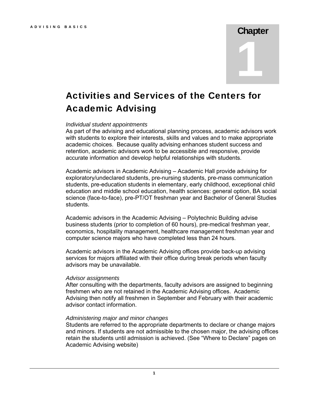### ADVISING BASICS **Chapter**

1

### Activities and Services of the Centers for Academic Advising

#### *Individual student appointments*

As part of the advising and educational planning process, academic advisors work with students to explore their interests, skills and values and to make appropriate academic choices. Because quality advising enhances student success and retention, academic advisors work to be accessible and responsive, provide accurate information and develop helpful relationships with students.

Academic advisors in Academic Advising – Academic Hall provide advising for exploratory/undeclared students, pre-nursing students, pre-mass communication students, pre-education students in elementary, early childhood, exceptional child education and middle school education, health sciences: general option, BA social science (face-to-face), pre-PT/OT freshman year and Bachelor of General Studies students.

Academic advisors in the Academic Advising – Polytechnic Building advise business students (prior to completion of 60 hours), pre-medical freshman year, economics, hospitality management, healthcare management freshman year and computer science majors who have completed less than 24 hours.

Academic advisors in the Academic Advising offices provide back-up advising services for majors affiliated with their office during break periods when faculty advisors may be unavailable.

#### *Advisor assignments*

After consulting with the departments, faculty advisors are assigned to beginning freshmen who are not retained in the Academic Advising offices. Academic Advising then notify all freshmen in September and February with their academic advisor contact information.

#### *Administering major and minor changes*

Students are referred to the appropriate departments to declare or change majors and minors. If students are not admissible to the chosen major, the advising offices retain the students until admission is achieved. (See "Where to Declare" pages on Academic Advising website)

1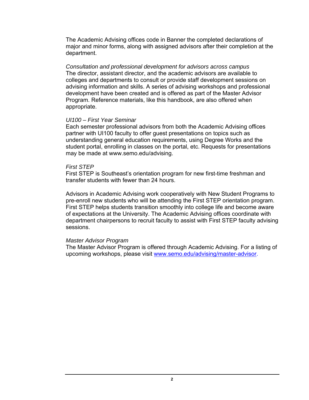The Academic Advising offices code in Banner the completed declarations of major and minor forms, along with assigned advisors after their completion at the department.

 appropriate. *Consultation and professional development for advisors across campus*  The director, assistant director, and the academic advisors are available to colleges and departments to consult or provide staff development sessions on advising information and skills. A series of advising workshops and professional development have been created and is offered as part of the Master Advisor Program. Reference materials, like this handbook, are also offered when

#### *UI100 – First Year Seminar*

Each semester professional advisors from both the Academic Advising offices partner with UI100 faculty to offer guest presentations on topics such as understanding general education requirements, using Degree Works and the student portal, enrolling in classes on the portal, etc. Requests for presentations may be made at<www.semo.edu/advising>.

#### *First STEP*

First STEP is Southeast's orientation program for new first-time freshman and transfer students with fewer than 24 hours.

 pre-enroll new students who will be attending the First STEP orientation program. Advisors in Academic Advising work cooperatively with New Student Programs to First STEP helps students transition smoothly into college life and become aware of expectations at the University. The Academic Advising offices coordinate with department chairpersons to recruit faculty to assist with First STEP faculty advising sessions.

#### *Master Advisor Program*

The Master Advisor Program is offered through Academic Advising. For a listing of upcoming workshops, please visit<www.semo.edu/advising/master-advisor>.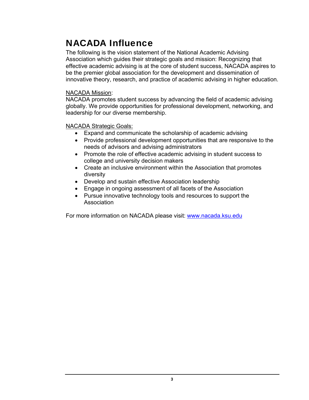### NACADA Influence

The following is the vision statement of the National Academic Advising Association which guides their strategic goals and mission: Recognizing that effective academic advising is at the core of student success, NACADA aspires to be the premier global association for the development and dissemination of innovative theory, research, and practice of academic advising in higher education.

#### NACADA Mission:

NACADA promotes student success by advancing the field of academic advising globally. We provide opportunities for professional development, networking, and leadership for our diverse membership.

NACADA Strategic Goals:

- Expand and communicate the scholarship of academic advising
- Provide professional development opportunities that are responsive to the needs of advisors and advising administrators
- Promote the role of effective academic advising in student success to college and university decision makers
- Create an inclusive environment within the Association that promotes diversity
- Develop and sustain effective Association leadership
- Engage in ongoing assessment of all facets of the Association
- Pursue innovative technology tools and resources to support the Association

For more information on NACADA please visit: <www.nacada.ksu.edu>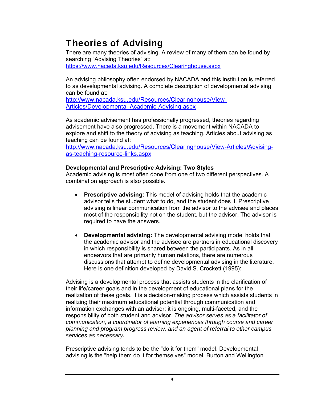**Theories of Advising**<br>There are many theories of advising. A review of many of them can be found by searching "Advising Theories" at: <https://www.nacada.ksu.edu/Resources/Clearinghouse.aspx>

An advising philosophy often endorsed by NACADA and this institution is referred to as developmental advising. A complete description of developmental advising can be found at:

<http://www.nacada.ksu.edu/Resources/Clearinghouse/View>-Articles/Developmental-Academic-Advising.aspx

As academic advisement has professionally progressed, theories regarding advisement have also progressed. There is a movement within NACADA to explore and shift to the theory of advising as teaching. Articles about advising as teaching can be found at:

<http://www.nacada.ksu.edu/Resources/Clearinghouse/View-Articles/Advising>as-teaching-resource-links.aspx

#### **Developmental and Prescriptive Advising: Two Styles**

Academic advising is most often done from one of two different perspectives. A combination approach is also possible.

- **Prescriptive advising:** This model of advising holds that the academic advisor tells the student what to do, and the student does it. Prescriptive advising is linear communication from the advisor to the advisee and places most of the responsibility not on the student, but the advisor. The advisor is required to have the answers.
- **Developmental advising:** The developmental advising model holds that the academic advisor and the advisee are partners in educational discovery in which responsibility is shared between the participants. As in all endeavors that are primarily human relations, there are numerous discussions that attempt to define developmental advising in the literature. Here is one definition developed by David S. Crockett (1995):

Advising is a developmental process that assists students in the clarification of their life/career goals and in the development of educational plans for the realization of these goals. It is a decision-making process which assists students in realizing their maximum educational potential through communication and information exchanges with an advisor; it is ongoing, multi-faceted, and the responsibility of both student and advisor. *The advisor serves as a facilitator of communication, a coordinator of learning experiences through course and career planning and program progress review, and an agent of referral to other campus services as necessary***.** 

Prescriptive advising tends to be the "do it for them" model. Developmental advising is the "help them do it for themselves" model. Burton and Wellington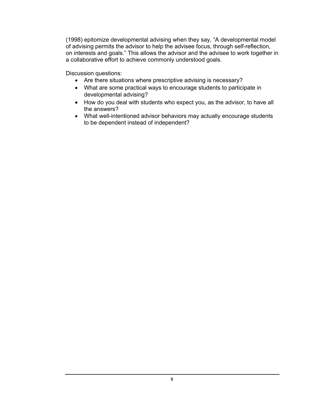(1998) epitomize developmental advising when they say, "A developmental model of advising permits the advisor to help the advisee focus, through self-reflection, on interests and goals." This allows the advisor and the advisee to work together in a collaborative effort to achieve commonly understood goals.

Discussion questions:

- Are there situations where prescriptive advising is necessary?
- What are some practical ways to encourage students to participate in developmental advising?
- How do you deal with students who expect you, as the advisor, to have all the answers?
- What well-intentioned advisor behaviors may actually encourage students to be dependent instead of independent?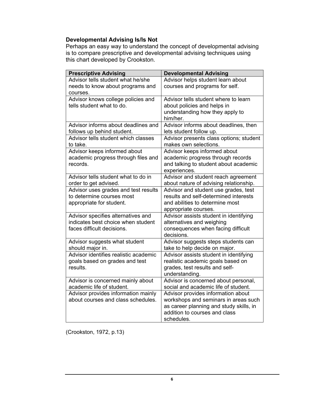#### **Developmental Advising Is/Is Not**

Perhaps an easy way to understand the concept of developmental advising is to compare prescriptive and developmental advising techniques using this chart developed by Crookston.

| <b>Prescriptive Advising</b>          | <b>Developmental Advising</b>           |
|---------------------------------------|-----------------------------------------|
| Advisor tells student what he/she     | Advisor helps student learn about       |
| needs to know about programs and      | courses and programs for self.          |
| courses.                              |                                         |
| Advisor knows college policies and    | Advisor tells student where to learn    |
| tells student what to do.             | about policies and helps in             |
|                                       | understanding how they apply to         |
|                                       | him/her.                                |
| Advisor informs about deadlines and   | Advisor informs about deadlines, then   |
| follows up behind student.            | lets student follow up.                 |
| Advisor tells student which classes   | Advisor presents class options; student |
| to take.                              | makes own selections.                   |
| Advisor keeps informed about          | Advisor keeps informed about            |
| academic progress through files and   | academic progress through records       |
| records.                              | and talking to student about academic   |
|                                       | experiences.                            |
| Advisor tells student what to do in   | Advisor and student reach agreement     |
| order to get advised.                 | about nature of advising relationship.  |
| Advisor uses grades and test results  | Advisor and student use grades, test    |
| to determine courses most             | results and self-determined interests   |
| appropriate for student.              | and abilities to determine most         |
|                                       | appropriate courses.                    |
| Advisor specifies alternatives and    | Advisor assists student in identifying  |
| indicates best choice when student    | alternatives and weighing               |
| faces difficult decisions.            | consequences when facing difficult      |
|                                       | decisions.                              |
| Advisor suggests what student         | Advisor suggests steps students can     |
| should major in.                      | take to help decide on major.           |
| Advisor identifies realistic academic | Advisor assists student in identifying  |
| goals based on grades and test        | realistic academic goals based on       |
| results.                              | grades, test results and self-          |
|                                       | understanding.                          |
| Advisor is concerned mainly about     | Advisor is concerned about personal,    |
| academic life of student.             | social and academic life of student.    |
| Advisor provides information mainly   | Advisor provides information about      |
| about courses and class schedules.    | workshops and seminars in areas such    |
|                                       | as career planning and study skills, in |
|                                       | addition to courses and class           |
|                                       | schedules.                              |

(Crookston, 1972, p.13)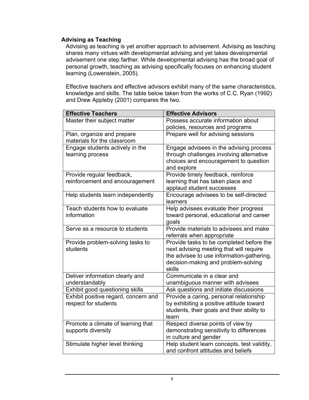#### **Advising as Teaching**

Advising as teaching is yet another approach to advisement. Advising as teaching shares many virtues with developmental advising and yet takes developmental advisement one step farther. While developmental advising has the broad goal of personal growth, teaching as advising specifically focuses on enhancing student learning (Lowenstein, 2005).

Effective teachers and effective advisors exhibit many of the same characteristics, knowledge and skills. The table below taken from the works of C.C. Ryan (1992) and Drew Appleby (2001) compares the two.

| <b>Effective Teachers</b>                     | <b>Effective Advisors</b>                        |
|-----------------------------------------------|--------------------------------------------------|
| Master their subject matter                   | Possess accurate information about               |
|                                               | policies, resources and programs                 |
| Plan, organize and prepare                    | Prepare well for advising sessions               |
| materials for the classroom                   |                                                  |
| Engage students actively in the               | Engage advisees in the advising process          |
| learning process                              | through challenges involving alternative         |
|                                               | choices and encouragement to question            |
|                                               | and explore                                      |
| Provide regular feedback,                     | Provide timely feedback, reinforce               |
| reinforcement and encouragement               | learning that has taken place and                |
|                                               | applaud student successes                        |
| Help students learn independently             | Encourage advisees to be self-directed           |
|                                               | learners                                         |
| Teach students how to evaluate<br>information | Help advisees evaluate their progress            |
|                                               | toward personal, educational and career<br>goals |
| Serve as a resource to students               | Provide materials to advisees and make           |
|                                               | referrals when appropriate                       |
| Provide problem-solving tasks to              | Provide tasks to be completed before the         |
| students                                      | next advising meeting that will require          |
|                                               | the advisee to use information-gathering,        |
|                                               | decision-making and problem-solving              |
|                                               | skills                                           |
| Deliver information clearly and               | Communicate in a clear and                       |
| understandably                                | unambiguous manner with advisees                 |
| Exhibit good questioning skills               | Ask questions and initiate discussions           |
| Exhibit positive regard, concern and          | Provide a caring, personal relationship          |
| respect for students                          | by exhibiting a positive attitude toward         |
|                                               | students, their goals and their ability to       |
|                                               | learn                                            |
| Promote a climate of learning that            | Respect diverse points of view by                |
| supports diversity                            | demonstrating sensitivity to differences         |
|                                               | in culture and gender                            |
| Stimulate higher level thinking               | Help student learn concepts, test validity,      |
|                                               | and confront attitudes and beliefs               |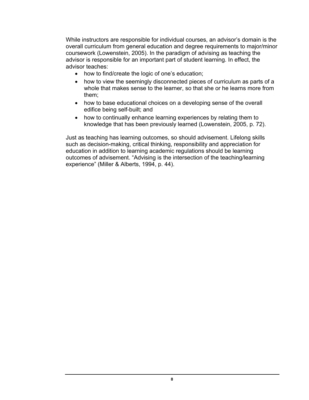While instructors are responsible for individual courses, an advisor's domain is the overall curriculum from general education and degree requirements to major/minor coursework (Lowenstein, 2005). In the paradigm of advising as teaching the advisor is responsible for an important part of student learning. In effect, the advisor teaches:

- how to find/create the logic of one's education;
- how to view the seemingly disconnected pieces of curriculum as parts of a whole that makes sense to the learner, so that she or he learns more from them;
- how to base educational choices on a developing sense of the overall edifice being self-built; and
- how to continually enhance learning experiences by relating them to knowledge that has been previously learned (Lowenstein, 2005, p. 72).

Just as teaching has learning outcomes, so should advisement. Lifelong skills such as decision-making, critical thinking, responsibility and appreciation for education in addition to learning academic regulations should be learning outcomes of advisement. "Advising is the intersection of the teaching/learning experience" (Miller & Alberts, 1994, p. 44).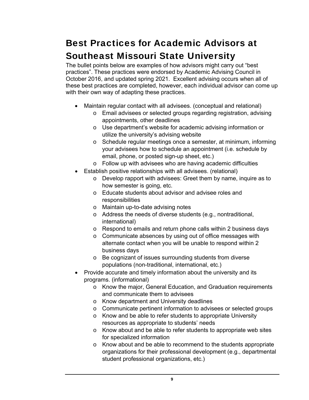### Best Practices for Academic Advisors at Southeast Missouri State University

The bullet points below are examples of how advisors might carry out "best practices". These practices were endorsed by Academic Advising Council in October 2016, and updated spring 2021. Excellent advising occurs when all of these best practices are completed, however, each individual advisor can come up with their own way of adapting these practices.

- Maintain regular contact with all advisees. (conceptual and relational)
	- o Email advisees or selected groups regarding registration, advising appointments, other deadlines
	- o Use department's website for academic advising information or utilize the university's advising website
	- o Schedule regular meetings once a semester, at minimum, informing your advisees how to schedule an appointment (i.e. schedule by email, phone, or posted sign-up sheet, etc.)
	- o Follow up with advisees who are having academic difficulties
- Establish positive relationships with all advisees. (relational)
	- o Develop rapport with advisees: Greet them by name, inquire as to how semester is going, etc.
	- o Educate students about advisor and advisee roles and responsibilities
	- o Maintain up-to-date advising notes
	- o Address the needs of diverse students (e.g., nontraditional, international)
	- o Respond to emails and return phone calls within 2 business days
	- o Communicate absences by using out of office messages with alternate contact when you will be unable to respond within 2 business days
	- o Be cognizant of issues surrounding students from diverse populations (non-traditional, international, etc.)
- Provide accurate and timely information about the university and its programs. (informational)
	- o Know the major, General Education, and Graduation requirements and communicate them to advisees
	- o Know department and University deadlines
	- o Communicate pertinent information to advisees or selected groups
	- o Know and be able to refer students to appropriate University resources as appropriate to students' needs
	- o Know about and be able to refer students to appropriate web sites for specialized information
	- o Know about and be able to recommend to the students appropriate organizations for their professional development (e.g., departmental student professional organizations, etc.)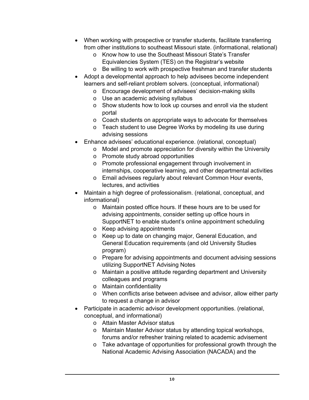- When working with prospective or transfer students, facilitate transferring from other institutions to southeast Missouri state. (informational, relational)
	- o Know how to use the Southeast Missouri State's Transfer Equivalencies System (TES) on the Registrar's website
	- o Be willing to work with prospective freshman and transfer students
- Adopt a developmental approach to help advisees become independent learners and self-reliant problem solvers. (conceptual, informational)
	- o Encourage development of advisees' decision-making skills
	- o Use an academic advising syllabus
	- o Show students how to look up courses and enroll via the student portal
	- o Coach students on appropriate ways to advocate for themselves
	- o Teach student to use Degree Works by modeling its use during advising sessions
- Enhance advisees' educational experience. (relational, conceptual)
	- o Model and promote appreciation for diversity within the University
	- o Promote study abroad opportunities
	- o Promote professional engagement through involvement in internships, cooperative learning, and other departmental activities
	- o Email advisees regularly about relevant Common Hour events, lectures, and activities
- Maintain a high degree of professionalism. (relational, conceptual, and informational)
	- o Maintain posted office hours. If these hours are to be used for advising appointments, consider setting up office hours in SupportNET to enable student's online appointment scheduling
	- o Keep advising appointments
	- o Keep up to date on changing major, General Education, and General Education requirements (and old University Studies program)
	- o Prepare for advising appointments and document advising sessions utilizing SupportNET Advising Notes
	- o Maintain a positive attitude regarding department and University colleagues and programs
	- o Maintain confidentiality
	- o When conflicts arise between advisee and advisor, allow either party to request a change in advisor
- Participate in academic advisor development opportunities. (relational, conceptual, and informational)
	- o Attain Master Advisor status
	- o Maintain Master Advisor status by attending topical workshops, forums and/or refresher training related to academic advisement
	- o Take advantage of opportunities for professional growth through the National Academic Advising Association (NACADA) and the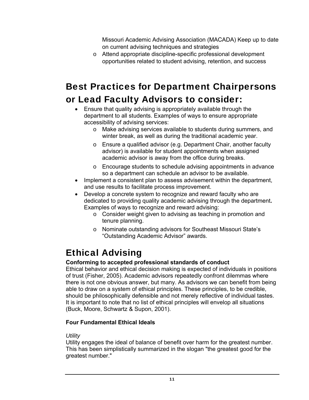Missouri Academic Advising Association (MACADA) Keep up to date on current advising techniques and strategies

o Attend appropriate discipline-specific professional development opportunities related to student advising, retention, and success

# Best Practices for Department Chairpersons

### or Lead Faculty Advisors to consider:

- Ensure that quality advising is appropriately available through the department to all students. Examples of ways to ensure appropriate accessibility of advising services:
	- o Make advising services available to students during summers, and winter break, as well as during the traditional academic year.
	- o Ensure a qualified advisor (e.g. Department Chair, another faculty advisor) is available for student appointments when assigned academic advisor is away from the office during breaks.
	- o Encourage students to schedule advising appointments in advance so a department can schedule an advisor to be available.
- Implement a consistent plan to assess advisement within the department, and use results to facilitate process improvement.
- Develop a concrete system to recognize and reward faculty who are dedicated to providing quality academic advising through the department**.**  Examples of ways to recognize and reward advising:
	- o Consider weight given to advising as teaching in promotion and tenure planning.
	- o Nominate outstanding advisors for Southeast Missouri State's "Outstanding Academic Advisor" awards.

### Ethical Advising

### **Conforming to accepted professional standards of conduct**

Ethical behavior and ethical decision making is expected of individuals in positions of trust (Fisher, 2005). Academic advisors repeatedly confront dilemmas where there is not one obvious answer, but many. As advisors we can benefit from being able to draw on a system of ethical principles. These principles, to be credible, should be philosophically defensible and not merely reflective of individual tastes. It is important to note that no list of ethical principles will envelop all situations (Buck, Moore, Schwartz & Supon, 2001).

### **Four Fundamental Ethical Ideals**

#### *Utility*

Utility engages the ideal of balance of benefit over harm for the greatest number. This has been simplistically summarized in the slogan "the greatest good for the greatest number."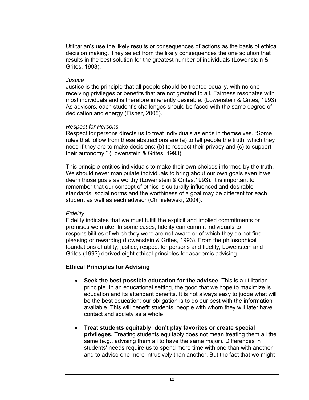Utilitarian's use the likely results or consequences of actions as the basis of ethical decision making. They select from the likely consequences the one solution that results in the best solution for the greatest number of individuals (Lowenstein & Grites, 1993).

#### *Justice*

Justice is the principle that all people should be treated equally, with no one receiving privileges or benefits that are not granted to all. Fairness resonates with most individuals and is therefore inherently desirable. (Lowenstein & Grites, 1993) As advisors, each student's challenges should be faced with the same degree of dedication and energy (Fisher, 2005).

#### *Respect for Persons*

Respect for persons directs us to treat individuals as ends in themselves. "Some rules that follow from these abstractions are (a) to tell people the truth, which they need if they are to make decisions; (b) to respect their privacy and (c) to support their autonomy." (Lowenstein & Grites, 1993).

This principle entitles individuals to make their own choices informed by the truth. We should never manipulate individuals to bring about our own goals even if we deem those goals as worthy (Lowenstein & Grites,1993). It is important to remember that our concept of ethics is culturally influenced and desirable standards, social norms and the worthiness of a goal may be different for each student as well as each advisor (Chmielewski, 2004).

#### *Fidelity*

Fidelity indicates that we must fulfill the explicit and implied commitments or promises we make. In some cases, fidelity can commit individuals to responsibilities of which they were are not aware or of which they do not find pleasing or rewarding (Lowenstein & Grites, 1993). From the philosophical foundations of utility, justice, respect for persons and fidelity, Lowenstein and Grites (1993) derived eight ethical principles for academic advising.

#### **Ethical Principles for Advising**

- **Seek the best possible education for the advisee.** This is a utilitarian principle. In an educational setting, the good that we hope to maximize is education and its attendant benefits. It is not always easy to judge what will be the best education; our obligation is to do our best with the information available. This will benefit students, people with whom they will later have contact and society as a whole.
- **Treat students equitably; don't play favorites or create special privileges.** Treating students equitably does not mean treating them all the same (e.g., advising them all to have the same major). Differences in students' needs require us to spend more time with one than with another and to advise one more intrusively than another. But the fact that we might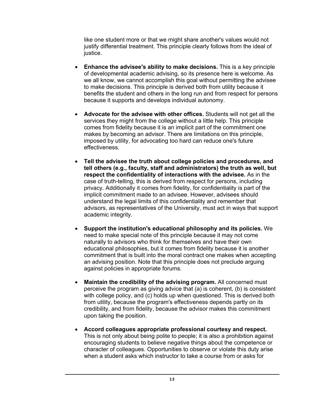like one student more or that we might share another's values would not justify differential treatment. This principle clearly follows from the ideal of justice.

- **Enhance the advisee's ability to make decisions.** This is a key principle of developmental academic advising, so its presence here is welcome. As we all know, we cannot accomplish this goal without permitting the advisee to make decisions. This principle is derived both from utility because it benefits the student and others in the long run and from respect for persons because it supports and develops individual autonomy.
- **Advocate for the advisee with other offices.** Students will not get all the services they might from the college without a little help. This principle comes from fidelity because it is an implicit part of the commitment one makes by becoming an advisor. There are limitations on this principle, imposed by utility, for advocating too hard can reduce one's future effectiveness.
- **Tell the advisee the truth about college policies and procedures, and tell others (e.g., faculty, staff and administrators) the truth as well, but respect the confidentiality of interactions with the advisee.** As in the case of truth-telling, this is derived from respect for persons, including privacy. Additionally it comes from fidelity, for confidentiality is part of the implicit commitment made to an advisee. However, advisees should understand the legal limits of this confidentiality and remember that advisors, as representatives of the University, must act in ways that support academic integrity.
- **Support the institution's educational philosophy and its policies.** We need to make special note of this principle because it may not come naturally to advisors who think for themselves and have their own educational philosophies, but it comes from fidelity because it is another commitment that is built into the moral contract one makes when accepting an advising position. Note that this principle does not preclude arguing against policies in appropriate forums.
- **Maintain the credibility of the advising program.** All concerned must perceive the program as giving advice that (a) is coherent, (b) is consistent with college policy, and (c) holds up when questioned. This is derived both from utility, because the program's effectiveness depends partly on its credibility, and from fidelity, because the advisor makes this commitment upon taking the position.
- **Accord colleagues appropriate professional courtesy and respect.**  This is not only about being polite to people; it is also a prohibition against encouraging students to believe negative things about the competence or character of colleagues. Opportunities to observe or violate this duty arise when a student asks which instructor to take a course from or asks for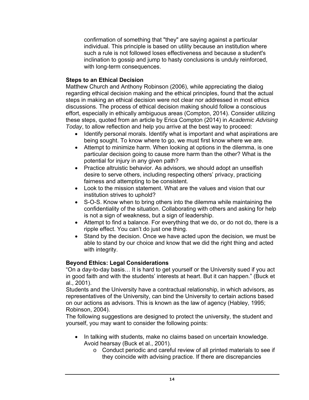confirmation of something that "they" are saying against a particular individual. This principle is based on utility because an institution where such a rule is not followed loses effectiveness and because a student's inclination to gossip and jump to hasty conclusions is unduly reinforced, with long-term consequences.

#### **Steps to an Ethical Decision**

Matthew Church and Anthony Robinson (2006), while appreciating the dialog regarding ethical decision making and the ethical principles, found that the actual steps in making an ethical decision were not clear nor addressed in most ethics discussions. The process of ethical decision making should follow a conscious effort, especially in ethically ambiguous areas (Compton, 2014). Consider utilizing these steps, quoted from an article by Erica Compton (2014) in *Academic Advising Today*, to allow reflection and help you arrive at the best way to proceed:

- Identify personal morals. Identify what is important and what aspirations are being sought. To know where to go, we must first know where we are.
- Attempt to minimize harm. When looking at options in the dilemma, is one particular decision going to cause more harm than the other? What is the potential for injury in any given path?
- Practice altruistic behavior. As advisors, we should adopt an unselfish desire to serve others, including respecting others' privacy, practicing fairness and attempting to be consistent.
- institution strives to uphold? Look to the mission statement. What are the values and vision that our
- S-O-S. Know when to bring others into the dilemma while maintaining the confidentiality of the situation. Collaborating with others and asking for help is not a sign of weakness, but a sign of leadership.
- Attempt to find a balance. For everything that we do, or do not do, there is a ripple effect. You can't do just one thing.
- Stand by the decision. Once we have acted upon the decision, we must be able to stand by our choice and know that we did the right thing and acted with integrity.

#### **Beyond Ethics: Legal Considerations**

"On a day-to-day basis… It is hard to get yourself or the University sued if you act in good faith and with the students' interests at heart. But it can happen." (Buck et al., 2001).

Students and the University have a contractual relationship, in which advisors, as representatives of the University, can bind the University to certain actions based on our actions as advisors. This is known as the law of agency (Habley, 1995; Robinson, 2004).

The following suggestions are designed to protect the university, the student and yourself, you may want to consider the following points:

- In talking with students, make no claims based on uncertain knowledge. Avoid hearsay (Buck et al., 2001).
	- o Conduct periodic and careful review of all printed materials to see if they coincide with advising practice. If there are discrepancies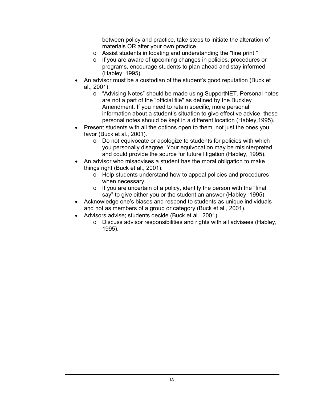between policy and practice, take steps to initiate the alteration of materials OR alter your own practice.

- o Assist students in locating and understanding the "fine print."
- o If you are aware of upcoming changes in policies, procedures or programs, encourage students to plan ahead and stay informed (Habley, 1995).
- An advisor must be a custodian of the student's good reputation (Buck et al., 2001).
	- o "Advising Notes" should be made using SupportNET. Personal notes are not a part of the "official file" as defined by the Buckley Amendment. If you need to retain specific, more personal information about a student's situation to give effective advice, these personal notes should be kept in a different location (Habley,1995).
- Present students with all the options open to them, not just the ones you favor (Buck et al., 2001).
	- o Do not equivocate or apologize to students for policies with which you personally disagree. Your equivocation may be misinterpreted and could provide the source for future litigation (Habley, 1995).
- An advisor who misadvises a student has the moral obligation to make things right (Buck et al., 2001).
	- o Help students understand how to appeal policies and procedures when necessary.
	- $\circ$  If you are uncertain of a policy, identify the person with the "final say" to give either you or the student an answer (Habley, 1995).
- Acknowledge one's biases and respond to students as unique individuals and not as members of a group or category (Buck et al., 2001).
- Advisors advise; students decide (Buck et al., 2001).
	- o Discuss advisor responsibilities and rights with all advisees (Habley, 1995).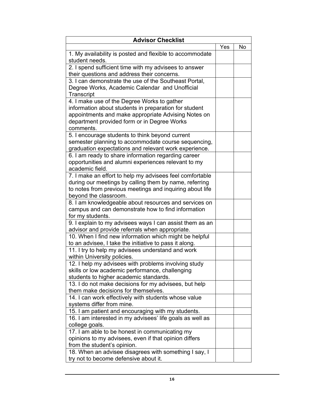| <b>Advisor Checklist</b>                                                                                                                                                                                                |     |    |  |  |
|-------------------------------------------------------------------------------------------------------------------------------------------------------------------------------------------------------------------------|-----|----|--|--|
|                                                                                                                                                                                                                         | Yes | No |  |  |
| 1. My availability is posted and flexible to accommodate<br>student needs.                                                                                                                                              |     |    |  |  |
| 2. I spend sufficient time with my advisees to answer<br>their questions and address their concerns.                                                                                                                    |     |    |  |  |
| 3. I can demonstrate the use of the Southeast Portal,<br>Degree Works, Academic Calendar and Unofficial<br>Transcript                                                                                                   |     |    |  |  |
| 4. I make use of the Degree Works to gather<br>information about students in preparation for student<br>appointments and make appropriate Advising Notes on<br>department provided form or in Degree Works<br>comments. |     |    |  |  |
| 5. I encourage students to think beyond current<br>semester planning to accommodate course sequencing,<br>graduation expectations and relevant work experience.                                                         |     |    |  |  |
| 6. I am ready to share information regarding career<br>opportunities and alumni experiences relevant to my<br>academic field.                                                                                           |     |    |  |  |
| 7. I make an effort to help my advisees feel comfortable<br>during our meetings by calling them by name, referring<br>to notes from previous meetings and inquiring about life<br>beyond the classroom.                 |     |    |  |  |
| 8. I am knowledgeable about resources and services on<br>campus and can demonstrate how to find information<br>for my students.                                                                                         |     |    |  |  |
| 9. I explain to my advisees ways I can assist them as an<br>advisor and provide referrals when appropriate.                                                                                                             |     |    |  |  |
| 10. When I find new information which might be helpful<br>to an advisee, I take the initiative to pass it along.                                                                                                        |     |    |  |  |
| 11. I try to help my advisees understand and work<br>within University policies.                                                                                                                                        |     |    |  |  |
| 12. I help my advisees with problems involving study<br>skills or low academic performance, challenging<br>students to higher academic standards.                                                                       |     |    |  |  |
| 13. I do not make decisions for my advisees, but help<br>them make decisions for themselves.                                                                                                                            |     |    |  |  |
| 14. I can work effectively with students whose value<br>systems differ from mine.                                                                                                                                       |     |    |  |  |
| 15. I am patient and encouraging with my students.                                                                                                                                                                      |     |    |  |  |
| 16. I am interested in my advisees' life goals as well as<br>college goals.                                                                                                                                             |     |    |  |  |
| 17. I am able to be honest in communicating my<br>opinions to my advisees, even if that opinion differs<br>from the student's opinion.                                                                                  |     |    |  |  |
| 18. When an advisee disagrees with something I say, I<br>try not to become defensive about it.                                                                                                                          |     |    |  |  |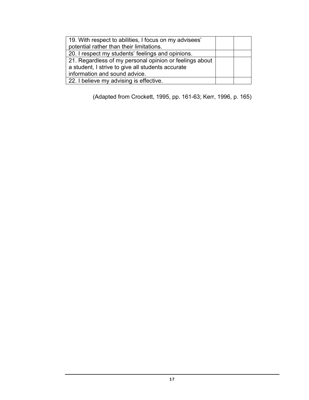| 19. With respect to abilities, I focus on my advisees'  |  |
|---------------------------------------------------------|--|
| potential rather than their limitations.                |  |
| 20. I respect my students' feelings and opinions.       |  |
| 21. Regardless of my personal opinion or feelings about |  |
| a student, I strive to give all students accurate       |  |
| information and sound advice.                           |  |
| 22. I believe my advising is effective.                 |  |

(Adapted from Crockett, 1995, pp. 161-63; Kerr, 1996, p. 165)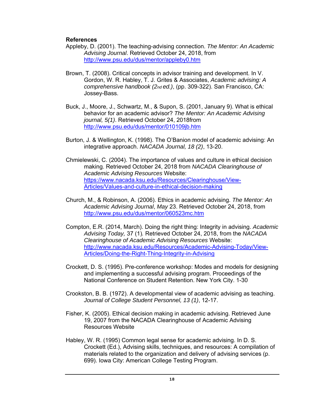#### **References**

- Appleby, D. (2001). The teaching-advising connection. *The Mentor: An Academic Advising Journal*. Retrieved October 24, 2018, from <http://www.psu.edu/dus/mentor/appleby0.htm>
- Brown, T. (2008). Critical concepts in advisor training and development. In V. Gordon, W. R. Habley, T. J. Grites & Associates, *Academic advising: A comprehensive handbook (2nd ed.)*, (pp. 309-322). San Francisco, CA: Jossey-Bass.
- Buck, J., Moore, J., Schwartz, M., & Supon, S. (2001, January 9). What is ethical behavior for an academic advisor? *The Mentor: An Academic Advising journal, 5(1)*. Retrieved October 24, 2018from <http://www.psu.edu/dus/mentor/010109jb.htm>
- Burton, J. & Wellington, K. (1998). The O'Banion model of academic advising: An integrative approach. *NACADA Journal, 18 (2)*, 13-20.
- Chmielewski, C. (2004). The importance of values and culture in ethical decision making. Retrieved October 24, 2018 from *NACADA Clearinghouse of Academic Advising Resources* Website: [https://www.nacada.ksu.edu/Resources/Clearinghouse/View-](https://www.nacada.ksu.edu/Resources/Clearinghouse/View)Articles/Values-and-culture-in-ethical-decision-making
- Church, M., & Robinson, A. (2006). Ethics in academic advising. *The Mentor: An Academic Advising Journal*, *May* 23. Retrieved October 24, 2018, from <http://www.psu.edu/dus/mentor/060523mc.htm>
- Compton, E.R. (2014, March). Doing the right thing: Integrity in advising. *Academic Advising Today,* 37 (1)*.* Retrieved October 24, 2018, from the *NACADA Clearinghouse of Academic Advising Resources* Website: [http://www.nacada.ksu.edu/Resources/Academic-Advising-Today/View-](http://www.nacada.ksu.edu/Resources/Academic-Advising-Today/View)Articles/Doing-the-Right-Thing-Integrity-in-Advising
- Crockett, D. S. (1995). Pre-conference workshop: Modes and models for designing and implementing a successful advising program. Proceedings of the National Conference on Student Retention. New York City. 1-30
- Crookston, B. B. (1972). A developmental view of academic advising as teaching. *Journal of College Student Personnel, 13 (1)*, 12-17.
- Fisher, K. (2005). Ethical decision making in academic advising. Retrieved June 19, 2007 from the NACADA Clearinghouse of Academic Advising Resources Website
- Habley, W. R. (1995) Common legal sense for academic advising. In D. S. Crockett (Ed.), Advising skills, techniques, and resources: A compilation of materials related to the organization and delivery of advising services (p. 699). Iowa City: American College Testing Program.